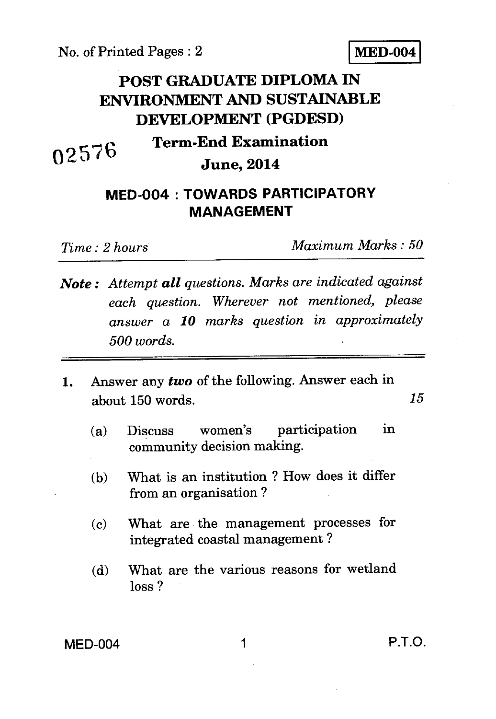No. of Printed Pages : 2 **MED-004** 

# **POST GRADUATE DIPLOMA IN ENVIRONMENT AND SUSTAINABLE DEVELOPMENT (PGDESD)**

# **Term-End Examination June, 2014**

## **MED-004 : TOWARDS PARTICIPATORY MANAGEMENT**

**257 0** 

*Time : 2 hours Maximum Marks : 50* 

- *Note : Attempt all questions. Marks are indicated against each question. Wherever not mentioned, please answer a 10 marks question in approximately 500 words.*
- 1. Answer any *two* of the following. Answer each in about 150 words. *15* 
	- (a) Discuss women's participation in community decision making.
	- (b) What is an institution ? How does it differ from an organisation ?
	- (c) What are the management processes for integrated coastal management ?
	- (d) What are the various reasons for wetland loss ?

MED-004 1 P.T.O.